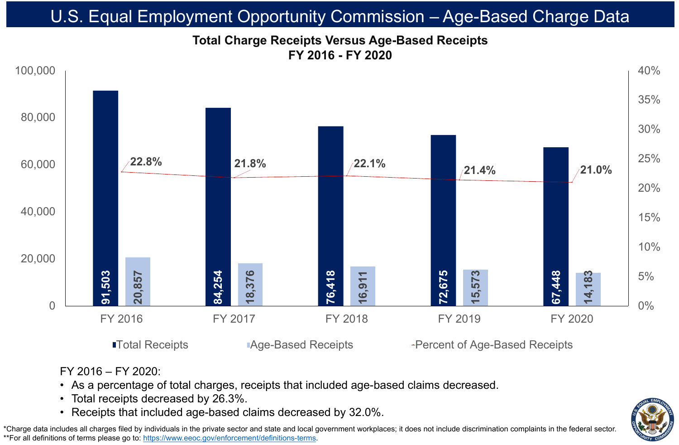• As a percentage of total charges, receipts that included age-based claims decreased.





FY 2016 – FY 2020: • Total receipts decreased by 26.3%.

### **Total Charge Receipts Versus Age-Based Receipts FY 2016 - FY 2020** U.S. Equal Employment Opportunity Commission – Age-Based Charge Data

\*Charge data includes all charges filed by individuals in the private sector and state and local government workplaces; it does not include discrimination complaints in the federal sector. \*\*For all definitions of terms please go to:<https://www.eeoc.gov/enforcement/definitions-terms>.

■Total Receipts **Age-Based Receipts** Percent of Age-Based Receipts →

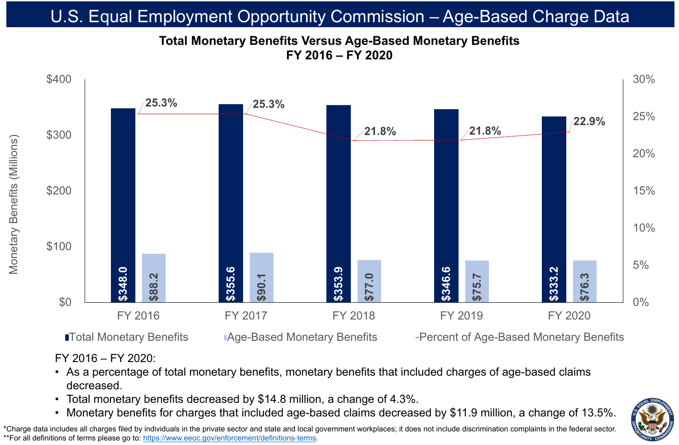FY 2016 – FY 2020:

• As a percentage of total monetary benefits, monetary benefits that included charges of age-based claims



- decreased.
- 
- 

# • Total monetary benefits decreased by \$14.8 million, a change of 4.3%.



\*Charge data includes all charges filed by individuals in the private sector and state and local government workplaces; it does not include discrimination complaints in the federal sector. \*\*For all definitions of terms please go to:<https://www.eeoc.gov/enforcement/definitions-terms>.

### **Total Monetary Benefits Versus Age-Based Monetary Benefits FY 2016 – FY 2020** U.S. Equal Employment Opportunity Commission - Age-Based Charge Datal





■Total Monetary Benefits Age-Based Monetary Benefits Fercent of Age-Based Monetary Benefits

FY 2016 FY 2017 FY 2018 FY 2019 FY 2020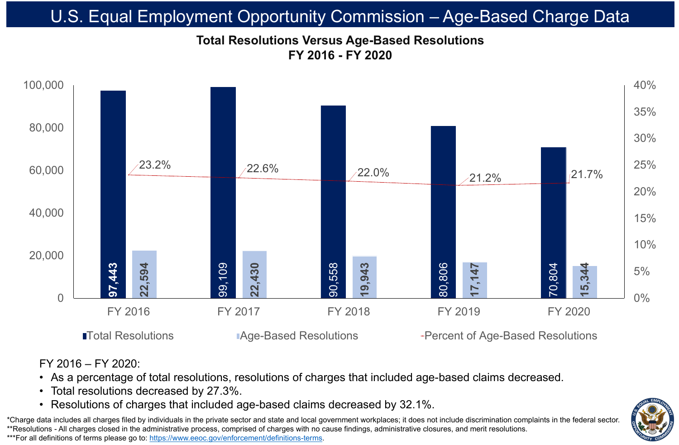![](_page_2_Figure_1.jpeg)

### **Total Resolutions Versus Age-Based Resolutions FY 2016 - FY 2020** U.S. Equal Employment Opportunity Commission – Age-Based Charge Data

\*Charge data includes all charges filed by individuals in the private sector and state and local government workplaces; it does not include discrimination complaints in the federal sector. \*\*Resolutions - All charges closed in the administrative process, comprised of charges with no cause findings, administrative closures, and merit resolutions. \*\*\*For all definitions of terms please go to:<https://www.eeoc.gov/enforcement/definitions-terms>.

■Total Resolutions ■ Age-Based Resolutions → Percent of Age-Based Resolutions

### FY 2016 – FY 2020:

## • As a percentage of total resolutions, resolutions of charges that included age-based claims decreased. • Resolutions of charges that included age-based claims decreased by 32.1%.

![](_page_2_Picture_13.jpeg)

- Total resolutions decreased by 27.3%.
-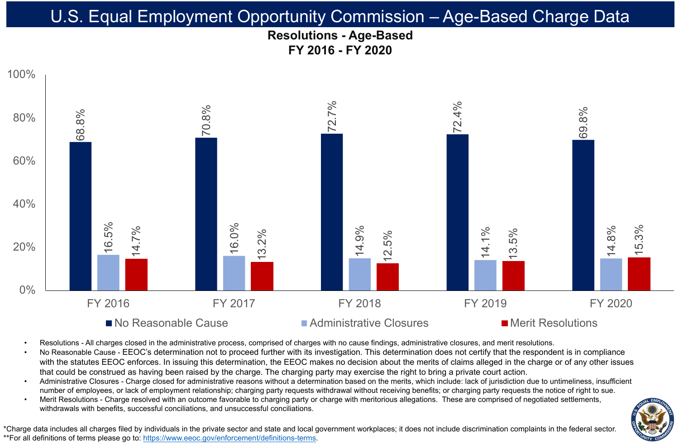![](_page_3_Figure_1.jpeg)

- 
- 
- 
- 

Resolutions - All charges closed in the administrative process, comprised of charges with no cause findings, administrative closures, and merit resolutions. No Reasonable Cause - EEOC's determination not to proceed further with its investigation. This determination does not certify that the respondent is in compliance with the statutes EEOC enforces. In issuing this determination, the EEOC makes no decision about the merits of claims alleged in the charge or of any other issues that could be construed as having been raised by the charge. The charging party may exercise the right to bring a private court action. Administrative Closures - Charge closed for administrative reasons without a determination based on the merits, which include: lack of jurisdiction due to untimeliness, insufficient number of employees, or lack of employment relationship; charging party requests withdrawal without receiving benefits; or charging party requests the notice of right to sue. Merit Resolutions - Charge resolved with an outcome favorable to charging party or charge with meritorious allegations. These are comprised of negotiated settlements, withdrawals with benefits, successful conciliations, and unsuccessful conciliations.

\*Charge data includes all charges filed by individuals in the private sector and state and local government workplaces; it does not include discrimination complaints in the federal sector. \*\*For all definitions of terms please go to:<https://www.eeoc.gov/enforcement/definitions-terms>.

![](_page_3_Picture_17.jpeg)